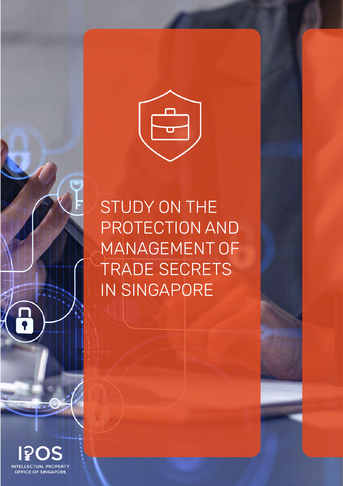

## STUDY ON THE PROTECTION AND MANAGEMENT OF TRADE SECRETS IN SINGAPORE

**INTELLECTUAL PROPERT OFFICE OF SINGAPORE**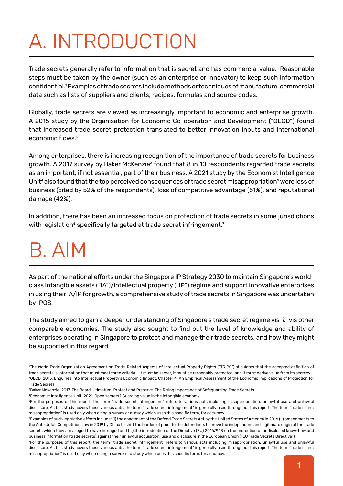# A. INTRODUCTION

Trade secrets generally refer to information that is secret and has commercial value. Reasonable steps must be taken by the owner (such as an enterprise or innovator) to keep such information confidential.1 Examples of trade secrets include methods or techniques of manufacture, commercial data such as lists of suppliers and clients, recipes, formulas and source codes.

Globally, trade secrets are viewed as increasingly important to economic and enterprise growth. A 2015 study by the Organisation for Economic Co-operation and Development ("OECD") found that increased trade secret protection translated to better innovation inputs and international economic flows.<sup>2</sup>

Among enterprises, there is increasing recognition of the importance of trade secrets for business growth. A 2017 survey by Baker McKenzie<sup>3</sup> found that 8 in 10 respondents regarded trade secrets as an important, if not essential, part of their business. A 2021 study by the Economist Intelligence Unit<sup>4</sup> also found that the top perceived consequences of trade secret misappropriation<sup>5</sup> were loss of business (cited by 52% of the respondents), loss of competitive advantage (51%), and reputational damage (42%).

In addition, there has been an increased focus on protection of trade secrets in some jurisdictions with legislation<sup>6</sup> specifically targeted at trade secret infringement.<sup>7</sup>

## B. AIM

As part of the national efforts under the Singapore IP Strategy 2030 to maintain Singapore's worldclass intangible assets ("IA")/intellectual property ("IP") regime and support innovative enterprises in using their IA/IP for growth, a comprehensive study of trade secrets in Singapore was undertaken by IPOS.

The study aimed to gain a deeper understanding of Singapore's trade secret regime vis-à-vis other comparable economies. The study also sought to find out the level of knowledge and ability of enterprises operating in Singapore to protect and manage their trade secrets, and how they might be supported in this regard.

3Baker McKenzie. 2017. The Board Ultimatum: Protect and Preserve. The Rising Importance of Safeguarding Trade Secrets.

4Economist Intelligence Unit. 2021. Open secrets? Guarding value in the intangible economy.

<sup>1</sup>The World Trade Organization Agreement on Trade-Related Aspects of Intellectual Property Rights ("TRIPS") stipulates that the accepted definition of trade secrets is information that must meet three criteria – it must be secret, it must be reasonably protected, and it must derive value from its secrecy. 2OECD. 2015. Enquiries into Intellectual Property's Economic Impact. Chapter 4: An Empirical Assessment of the Economic Implications of Protection for Trade Secrets.

<sup>5</sup>For the purposes of this report, the term "trade secret infringement" refers to various acts including misappropriation, unlawful use and unlawful disclosure. As this study covers these various acts, the term "trade secret infringement" is generally used throughout this report. The term "trade secret misappropriation" is used only when citing a survey or a study which uses this specific term, for accuracy.

<sup>6</sup>Examples of such legislative efforts include: (i) the enactment of the Defend Trade Secrets Act by the United States of America in 2016 (ii) amendments to the Anti-Unfair Competition Law in 2019 by China to shift the burden of proof to the defendants to prove the independent and legitimate origin of the trade secrets which they are alleged to have infringed and (iii) the introduction of the Directive (EU) 2016/943 on the protection of undisclosed know-how and business information (trade secrets) against their unlawful acquisition, use and disclosure in the European Union ("EU Trade Secrets Directive").

<sup>7</sup>For the purposes of this report, the term "trade secret infringement" refers to various acts including misappropriation, unlawful use and unlawful disclosure. As this study covers these various acts, the term "trade secret infringement" is generally used throughout this report. The term "trade secret misappropriation" is used only when citing a survey or a study which uses this specific term, for accuracy.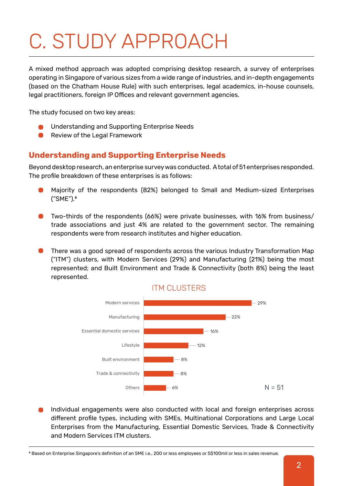## C. STUDY APPROACH

A mixed method approach was adopted comprising desktop research, a survey of enterprises operating in Singapore of various sizes from a wide range of industries, and in-depth engagements (based on the Chatham House Rule) with such enterprises, legal academics, in-house counsels, legal practitioners, foreign IP Offices and relevant government agencies.

The study focused on two key areas:

- Understanding and Supporting Enterprise Needs
- $\bullet$ Review of the Legal Framework

### **Understanding and Supporting Enterprise Needs**

Beyond desktop research, an enterprise survey was conducted. A total of 51 enterprises responded. The profile breakdown of these enterprises is as follows:

- Majority of the respondents (82%) belonged to Small and Medium-sized Enterprises ("SME").8
- Two-thirds of the respondents (66%) were private businesses, with 16% from business/ trade associations and just 4% are related to the government sector. The remaining respondents were from research institutes and higher education.
- There was a good spread of respondents across the various Industry Transformation Map ("ITM") clusters, with Modern Services (29%) and Manufacturing (21%) being the most represented; and Built Environment and Trade & Connectivity (both 8%) being the least represented.



Individual engagements were also conducted with local and foreign enterprises across different profile types, including with SMEs, Multinational Corporations and Large Local Enterprises from the Manufacturing, Essential Domestic Services, Trade & Connectivity and Modern Services ITM clusters.

<sup>8</sup> Based on Enterprise Singapore's definition of an SME i.e., 200 or less employees or S\$100mil or less in sales revenue.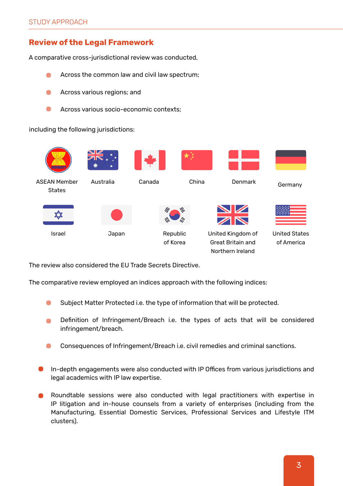### **Review of the Legal Framework**

A comparative cross-jurisdictional review was conducted,

- Across the common law and civil law spectrum;  $\blacksquare$
- $\blacksquare$ Across various regions; and
- Across various socio-economic contexts;  $\blacksquare$

including the following jurisdictions:



The review also considered the EU Trade Secrets Directive.

The comparative review employed an indices approach with the following indices:

- Subject Matter Protected i.e. the type of information that will be protected.  $\Box$
- Definition of Infringement/Breach i.e. the types of acts that will be considered infringement/breach.
- Consequences of Infringement/Breach i.e. civil remedies and criminal sanctions.
- In-depth engagements were also conducted with IP Offices from various jurisdictions and legal academics with IP law expertise.
- Roundtable sessions were also conducted with legal practitioners with expertise in IP litigation and in-house counsels from a variety of enterprises (including from the Manufacturing, Essential Domestic Services, Professional Services and Lifestyle ITM clusters).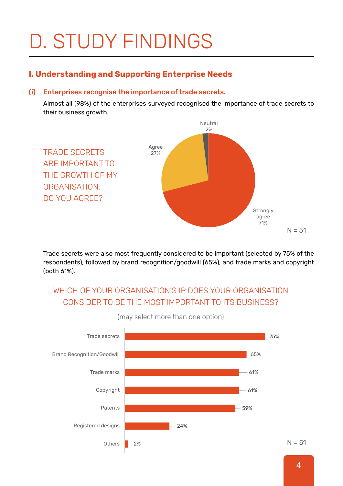# D. STUDY FINDINGS

### **I. Understanding and Supporting Enterprise Needs**

#### Enterprises recognise the importance of trade secrets. (i)

Almost all (98%) of the enterprises surveyed recognised the importance of trade secrets to their business growth.



Trade secrets were also most frequently considered to be important (selected by 75% of the respondents), followed by brand recognition/goodwill (65%), and trade marks and copyright (both 61%).

## WHICH OF YOUR ORGANISATION'S IP DOES YOUR ORGANISATION CONSIDER TO BE THE MOST IMPORTANT TO ITS BUSINESS?



(may select more than one option)

4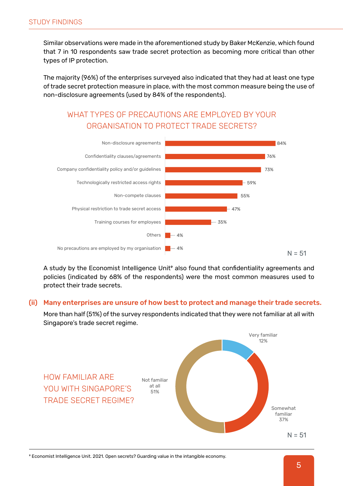Similar observations were made in the aforementioned study by Baker McKenzie, which found that 7 in 10 respondents saw trade secret protection as becoming more critical than other types of IP protection.

The majority (96%) of the enterprises surveyed also indicated that they had at least one type of trade secret protection measure in place, with the most common measure being the use of non-disclosure agreements (used by 84% of the respondents).

## WHAT TYPES OF PRECAUTIONS ARE EMPLOYED BY YOUR ORGANISATION TO PROTECT TRADE SECRETS?



A study by the Economist Intelligence Unit<sup>9</sup> also found that confidentiality agreements and policies (indicated by 68% of the respondents) were the most common measures used to protect their trade secrets.

#### Many enterprises are unsure of how best to protect and manage their trade secrets. (ii)

More than half (51%) of the survey respondents indicated that they were not familiar at all with Singapore's trade secret regime.



9 Economist Intelligence Unit. 2021. Open secrets? Guarding value in the intangible economy.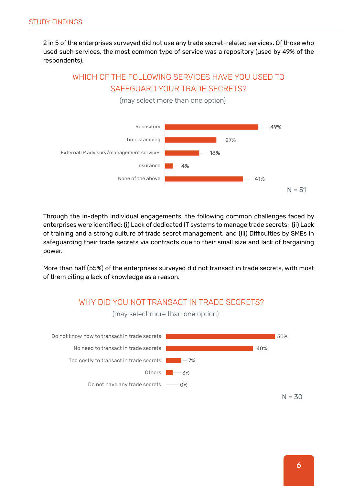2 in 5 of the enterprises surveyed did not use any trade secret-related services. Of those who used such services, the most common type of service was a repository (used by 49% of the respondents).

## WHICH OF THE FOLLOWING SERVICES HAVE YOU USED TO SAFEGUARD YOUR TRADE SECRETS?



(may select more than one option)

Through the in-depth individual engagements, the following common challenges faced by enterprises were identified: (i) Lack of dedicated IT systems to manage trade secrets; (ii) Lack of training and a strong culture of trade secret management; and (iii) Difficulties by SMEs in safeguarding their trade secrets via contracts due to their small size and lack of bargaining power.

More than half (55%) of the enterprises surveyed did not transact in trade secrets, with most of them citing a lack of knowledge as a reason.

## WHY DID YOU NOT TRANSACT IN TRADE SECRETS?



(may select more than one option)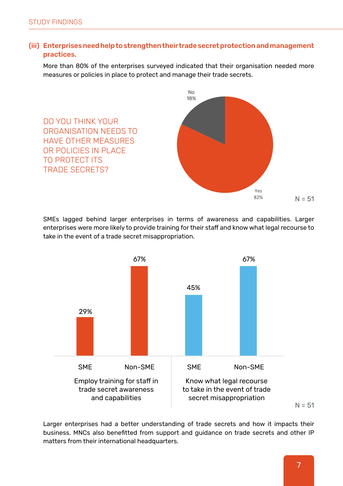#### (iii) Enterprises need help to strengthen their trade secret protection and management practices.

More than 80% of the enterprises surveyed indicated that their organisation needed more measures or policies in place to protect and manage their trade secrets.



SMEs lagged behind larger enterprises in terms of awareness and capabilities. Larger enterprises were more likely to provide training for their staff and know what legal recourse to take in the event of a trade secret misappropriation.



Larger enterprises had a better understanding of trade secrets and how it impacts their business. MNCs also benefitted from support and guidance on trade secrets and other IP matters from their international headquarters.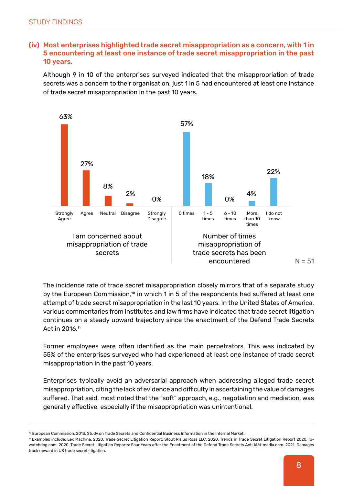#### (iv) Most enterprises highlighted trade secret misappropriation as a concern, with 1 in 5 encountering at least one instance of trade secret misappropriation in the past 10 years.

Although 9 in 10 of the enterprises surveyed indicated that the misappropriation of trade secrets was a concern to their organisation, just 1 in 5 had encountered at least one instance of trade secret misappropriation in the past 10 years.



The incidence rate of trade secret misappropriation closely mirrors that of a separate study by the European Commission,<sup>10</sup> in which 1 in 5 of the respondents had suffered at least one attempt of trade secret misappropriation in the last 10 years. In the United States of America, various commentaries from institutes and law firms have indicated that trade secret litigation continues on a steady upward trajectory since the enactment of the Defend Trade Secrets Act in 2016.11

Former employees were often identified as the main perpetrators. This was indicated by 55% of the enterprises surveyed who had experienced at least one instance of trade secret misappropriation in the past 10 years.

Enterprises typically avoid an adversarial approach when addressing alleged trade secret misappropriation, citing the lack of evidence and difficulty in ascertaining the value of damages suffered. That said, most noted that the "soft" approach, e.g., negotiation and mediation, was generally effective, especially if the misappropriation was unintentional.

<sup>10</sup> European Commission. 2013. Study on Trade Secrets and Confidential Business Information in the Internal Market.

<sup>11</sup> Examples include: Lex Machina. 2020. Trade Secret Litigation Report; Stout Risius Ross LLC. 2020. Trends in Trade Secret Litigation Report 2020; ipwatchdog.com. 2020. Trade Secret Litigation Reports: Four Years after the Enactment of the Defend Trade Secrets Act; IAM-media.com. 2021. Damages track upward in US trade secret litigation.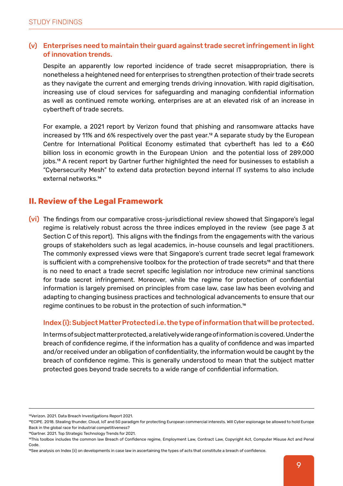#### Enterprises need to maintain their guard against trade secret infringement in light (v) of innovation trends.

Despite an apparently low reported incidence of trade secret misappropriation, there is nonetheless a heightened need for enterprises to strengthen protection of their trade secrets as they navigate the current and emerging trends driving innovation. With rapid digitisation, increasing use of cloud services for safeguarding and managing confidential information as well as continued remote working, enterprises are at an elevated risk of an increase in cybertheft of trade secrets.

For example, a 2021 report by Verizon found that phishing and ransomware attacks have increased by 11% and 6% respectively over the past year.<sup>12</sup> A separate study by the European Centre for International Political Economy estimated that cybertheft has led to a  $\epsilon$ 60 billion loss in economic growth in the European Union and the potential loss of 289,000 jobs.13 A recent report by Gartner further highlighted the need for businesses to establish a "Cybersecurity Mesh" to extend data protection beyond internal IT systems to also include external networks.14

#### **II. Review of the Legal Framework**

(vi) The findings from our comparative cross-jurisdictional review showed that Singapore's legal regime is relatively robust across the three indices employed in the review (see page 3 at Section C of this report). This aligns with the findings from the engagements with the various groups of stakeholders such as legal academics, in-house counsels and legal practitioners. The commonly expressed views were that Singapore's current trade secret legal framework is sufficient with a comprehensive toolbox for the protection of trade secrets<sup>15</sup> and that there is no need to enact a trade secret specific legislation nor introduce new criminal sanctions for trade secret infringement. Moreover, while the regime for protection of confidential information is largely premised on principles from case law, case law has been evolving and adapting to changing business practices and technological advancements to ensure that our regime continues to be robust in the protection of such information.16

#### Index (i): Subject Matter Protected i.e. the type of information that will be protected.

In terms of subject matter protected, a relatively wide range of information is covered. Under the breach of confidence regime, if the information has a quality of confidence and was imparted and/or received under an obligation of confidentiality, the information would be caught by the breach of confidence regime. This is generally understood to mean that the subject matter protected goes beyond trade secrets to a wide range of confidential information.

<sup>12</sup>Verizon. 2021. Data Breach Investigations Report 2021.

<sup>13</sup>ECIPE. 2018. Stealing thunder, Cloud, IoT and 5G paradigm for protecting European commercial interests. Will Cyber espionage be allowed to hold Europe Back in the global race for industrial competitiveness?

<sup>14</sup>Gartner. 2021. Top Strategic Technology Trends for 2021.

<sup>15</sup>This toolbox includes the common law Breach of Confidence regime, Employment Law, Contract Law, Copyright Act, Computer Misuse Act and Penal Code.

<sup>&</sup>lt;sup>16</sup>See analysis on Index (ii) on developments in case law in ascertaining the types of acts that constitute a breach of confidence.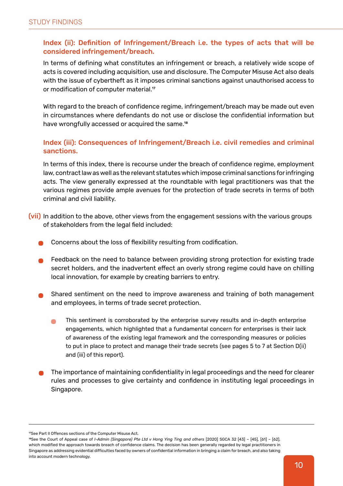#### Index (ii): Definition of Infringement/Breach i.e. the types of acts that will be considered infringement/breach.

In terms of defining what constitutes an infringement or breach, a relatively wide scope of acts is covered including acquisition, use and disclosure. The Computer Misuse Act also deals with the issue of cybertheft as it imposes criminal sanctions against unauthorised access to or modification of computer material.<sup>17</sup>

With regard to the breach of confidence regime, infringement/breach may be made out even in circumstances where defendants do not use or disclose the confidential information but have wrongfully accessed or acquired the same.<sup>18</sup>

#### Index (iii): Consequences of Infringement/Breach i.e. civil remedies and criminal sanctions.

In terms of this index, there is recourse under the breach of confidence regime, employment law, contract law as well as the relevant statutes which impose criminal sanctions for infringing acts. The view generally expressed at the roundtable with legal practitioners was that the various regimes provide ample avenues for the protection of trade secrets in terms of both criminal and civil liability.

- (vii) In addition to the above, other views from the engagement sessions with the various groups of stakeholders from the legal field included:
	- Concerns about the loss of flexibility resulting from codification.
	- Feedback on the need to balance between providing strong protection for existing trade secret holders, and the inadvertent effect an overly strong regime could have on chilling local innovation, for example by creating barriers to entry.
	- Shared sentiment on the need to improve awareness and training of both management and employees, in terms of trade secret protection.
		- This sentiment is corroborated by the enterprise survey results and in-depth enterprise  $\blacksquare$ engagements, which highlighted that a fundamental concern for enterprises is their lack of awareness of the existing legal framework and the corresponding measures or policies to put in place to protect and manage their trade secrets (see pages 5 to 7 at Section D(ii) and (iii) of this report).
	- The importance of maintaining confidentiality in legal proceedings and the need for clearer rules and processes to give certainty and confidence in instituting legal proceedings in Singapore.

<sup>17</sup>See Part II Offences sections of the Computer Misuse Act.

<sup>18</sup>See the Court of Appeal case of *I-Admin (Singapore) Pte Ltd v Hong Ying Ting and others* [2020] SGCA 32 [43] – [45], [61] – [62], which modified the approach towards breach of confidence claims. The decision has been generally regarded by legal practitioners in Singapore as addressing evidential difficulties faced by owners of confidential information in bringing a claim for breach, and also taking into account modern technology.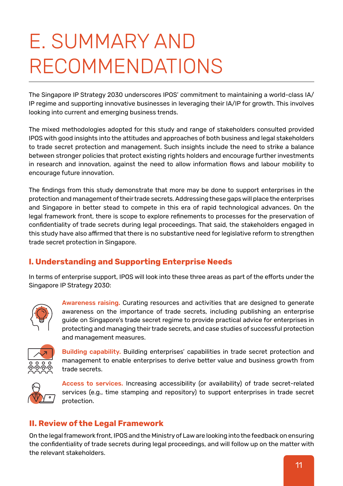## E. SUMMARY AND RECOMMENDATIONS

The Singapore IP Strategy 2030 underscores IPOS' commitment to maintaining a world-class IA/ IP regime and supporting innovative businesses in leveraging their IA/IP for growth. This involves looking into current and emerging business trends.

The mixed methodologies adopted for this study and range of stakeholders consulted provided IPOS with good insights into the attitudes and approaches of both business and legal stakeholders to trade secret protection and management. Such insights include the need to strike a balance between stronger policies that protect existing rights holders and encourage further investments in research and innovation, against the need to allow information flows and labour mobility to encourage future innovation.

The findings from this study demonstrate that more may be done to support enterprises in the protection and management of their trade secrets. Addressing these gaps will place the enterprises and Singapore in better stead to compete in this era of rapid technological advances. On the legal framework front, there is scope to explore refinements to processes for the preservation of confidentiality of trade secrets during legal proceedings. That said, the stakeholders engaged in this study have also affirmed that there is no substantive need for legislative reform to strengthen trade secret protection in Singapore.

## **I. Understanding and Supporting Enterprise Needs**

In terms of enterprise support, IPOS will look into these three areas as part of the efforts under the Singapore IP Strategy 2030:



Awareness raising. Curating resources and activities that are designed to generate awareness on the importance of trade secrets, including publishing an enterprise guide on Singapore's trade secret regime to provide practical advice for enterprises in protecting and managing their trade secrets, and case studies of successful protection and management measures.



Building capability. Building enterprises' capabilities in trade secret protection and management to enable enterprises to derive better value and business growth from trade secrets.



Access to services. Increasing accessibility (or availability) of trade secret-related services (e.g., time stamping and repository) to support enterprises in trade secret protection.

### **II. Review of the Legal Framework**

On the legal framework front, IPOS and the Ministry of Law are looking into the feedback on ensuring the confidentiality of trade secrets during legal proceedings, and will follow up on the matter with the relevant stakeholders.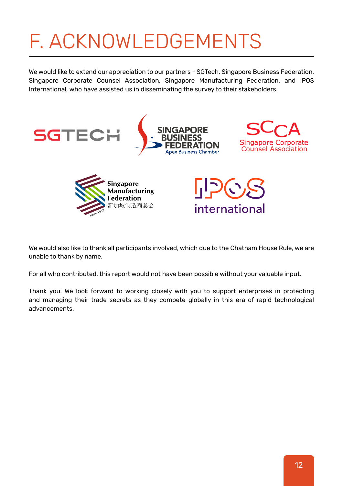## F. ACKNOWLEDGEMENTS

We would like to extend our appreciation to our partners - SGTech, Singapore Business Federation, Singapore Corporate Counsel Association, Singapore Manufacturing Federation, and IPOS International, who have assisted us in disseminating the survey to their stakeholders.



We would also like to thank all participants involved, which due to the Chatham House Rule, we are unable to thank by name.

For all who contributed, this report would not have been possible without your valuable input.

Thank you. We look forward to working closely with you to support enterprises in protecting and managing their trade secrets as they compete globally in this era of rapid technological advancements.